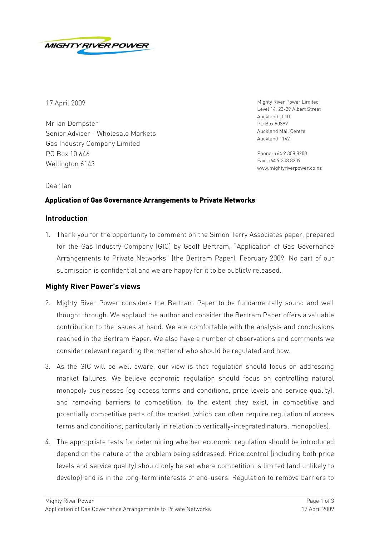

Mr Ian Dempster Senior Adviser - Wholesale Markets Gas Industry Company Limited PO Box 10 646 Phone: +64 9 308 8200 Fax: +64 9 308 8209 Wellington 6143 www.mightyriverpower.co.nz

Mighty River Power Limited 17 April 2009<br>Level 14, 23-29 Albert Street Auckland 1010 PO Box 90399 Auckland Mail Centre Auckland 1142

Dear Ian

# **Application of Gas Governance Arrangements to Private Networks**

# **Introduction**

1. Thank you for the opportunity to comment on the Simon Terry Associates paper, prepared for the Gas Industry Company (GIC) by Geoff Bertram, "Application of Gas Governance Arrangements to Private Networks" (the Bertram Paper), February 2009. No part of our submission is confidential and we are happy for it to be publicly released.

# **Mighty River Power's views**

- 2. Mighty River Power considers the Bertram Paper to be fundamentally sound and well thought through. We applaud the author and consider the Bertram Paper offers a valuable contribution to the issues at hand. We are comfortable with the analysis and conclusions reached in the Bertram Paper. We also have a number of observations and comments we consider relevant regarding the matter of who should be regulated and how.
- 3. As the GIC will be well aware, our view is that regulation should focus on addressing market failures. We believe economic regulation should focus on controlling natural monopoly businesses (eg access terms and conditions, price levels and service quality), and removing barriers to competition, to the extent they exist, in competitive and potentially competitive parts of the market (which can often require regulation of access terms and conditions, particularly in relation to vertically-integrated natural monopolies).
- 4. The appropriate tests for determining whether economic regulation should be introduced depend on the nature of the problem being addressed. Price control (including both price levels and service quality) should only be set where competition is limited (and unlikely to develop) and is in the long-term interests of end-users. Regulation to remove barriers to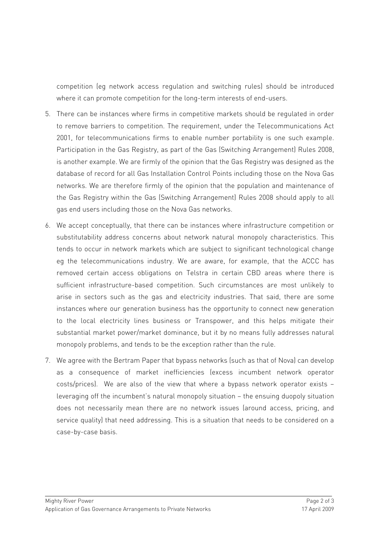competition (eg network access regulation and switching rules) should be introduced where it can promote competition for the long-term interests of end-users.

- 5. There can be instances where firms in competitive markets should be regulated in order to remove barriers to competition. The requirement, under the Telecommunications Act 2001, for telecommunications firms to enable number portability is one such example. Participation in the Gas Registry, as part of the Gas (Switching Arrangement) Rules 2008, is another example. We are firmly of the opinion that the Gas Registry was designed as the database of record for all Gas Installation Control Points including those on the Nova Gas networks. We are therefore firmly of the opinion that the population and maintenance of the Gas Registry within the Gas (Switching Arrangement) Rules 2008 should apply to all gas end users including those on the Nova Gas networks.
- 6. We accept conceptually, that there can be instances where infrastructure competition or substitutability address concerns about network natural monopoly characteristics. This tends to occur in network markets which are subject to significant technological change eg the telecommunications industry. We are aware, for example, that the ACCC has removed certain access obligations on Telstra in certain CBD areas where there is sufficient infrastructure-based competition. Such circumstances are most unlikely to arise in sectors such as the gas and electricity industries. That said, there are some instances where our generation business has the opportunity to connect new generation to the local electricity lines business or Transpower, and this helps mitigate their substantial market power/market dominance, but it by no means fully addresses natural monopoly problems, and tends to be the exception rather than the rule.
- 7. We agree with the Bertram Paper that bypass networks (such as that of Nova) can develop as a consequence of market inefficiencies (excess incumbent network operator costs/prices). We are also of the view that where a bypass network operator exists – leveraging off the incumbent's natural monopoly situation – the ensuing duopoly situation does not necessarily mean there are no network issues (around access, pricing, and service quality) that need addressing. This is a situation that needs to be considered on a case-by-case basis.